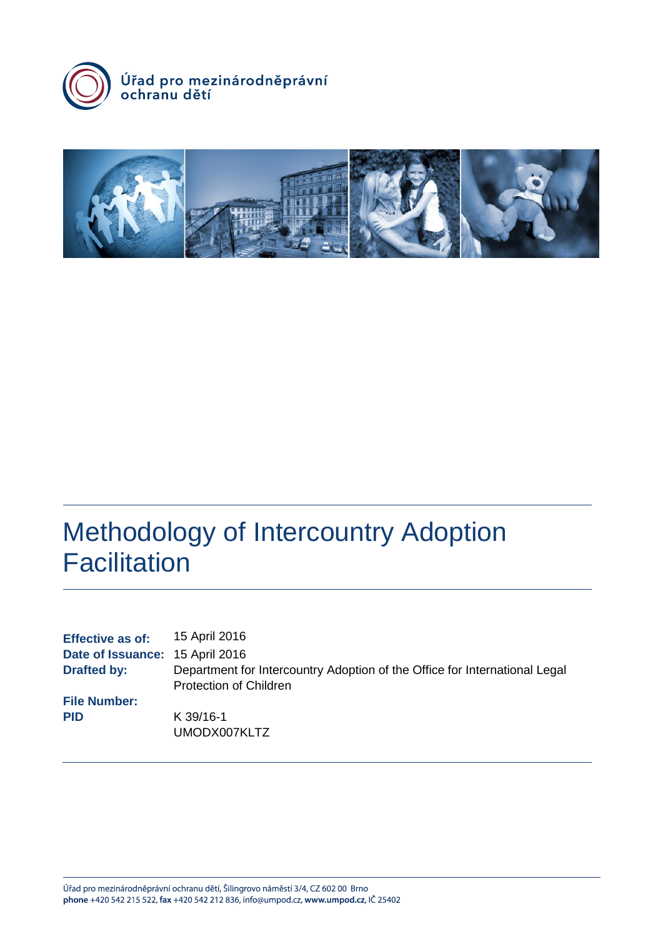



# Methodology of Intercountry Adoption **Facilitation**

| <b>Effective as of:</b><br>Date of Issuance: 15 April 2016 | 15 April 2016                                                              |
|------------------------------------------------------------|----------------------------------------------------------------------------|
| <b>Drafted by:</b>                                         | Department for Intercountry Adoption of the Office for International Legal |
|                                                            | <b>Protection of Children</b>                                              |
| <b>File Number:</b>                                        |                                                                            |
| <b>PID</b>                                                 | K 39/16-1                                                                  |
|                                                            | UMODX007KLTZ                                                               |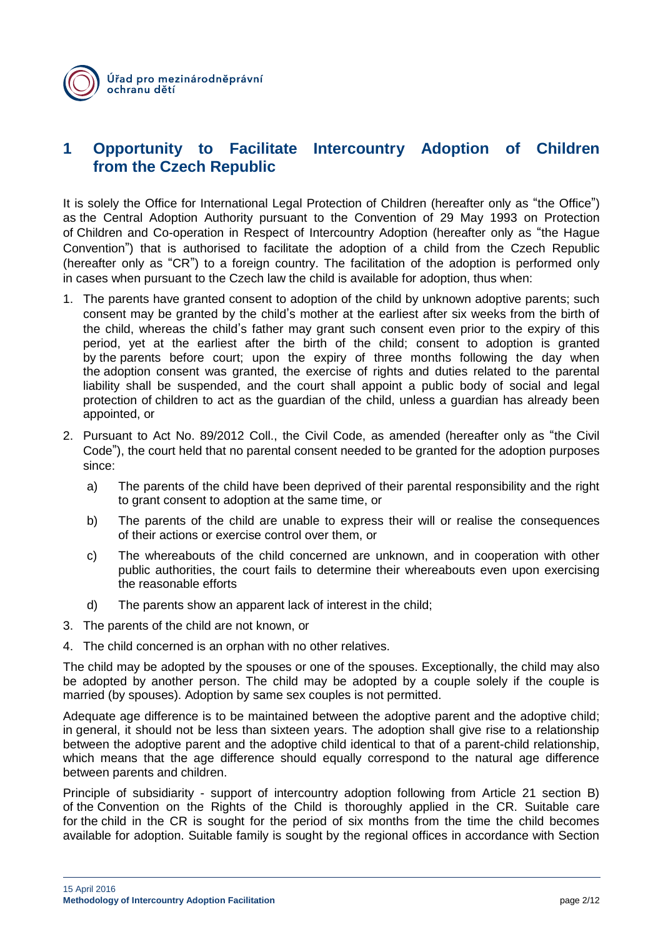# **1 Opportunity to Facilitate Intercountry Adoption of Children from the Czech Republic**

It is solely the Office for International Legal Protection of Children (hereafter only as "the Office") as the Central Adoption Authority pursuant to the Convention of 29 May 1993 on Protection of Children and Co-operation in Respect of Intercountry Adoption (hereafter only as "the Hague Convention") that is authorised to facilitate the adoption of a child from the Czech Republic (hereafter only as "CR") to a foreign country. The facilitation of the adoption is performed only in cases when pursuant to the Czech law the child is available for adoption, thus when:

- 1. The parents have granted consent to adoption of the child by unknown adoptive parents; such consent may be granted by the child's mother at the earliest after six weeks from the birth of the child, whereas the child's father may grant such consent even prior to the expiry of this period, yet at the earliest after the birth of the child; consent to adoption is granted by the parents before court; upon the expiry of three months following the day when the adoption consent was granted, the exercise of rights and duties related to the parental liability shall be suspended, and the court shall appoint a public body of social and legal protection of children to act as the guardian of the child, unless a guardian has already been appointed, or
- 2. Pursuant to Act No. 89/2012 Coll., the Civil Code, as amended (hereafter only as "the Civil Code"), the court held that no parental consent needed to be granted for the adoption purposes since:
	- a) The parents of the child have been deprived of their parental responsibility and the right to grant consent to adoption at the same time, or
	- b) The parents of the child are unable to express their will or realise the consequences of their actions or exercise control over them, or
	- c) The whereabouts of the child concerned are unknown, and in cooperation with other public authorities, the court fails to determine their whereabouts even upon exercising the reasonable efforts
	- d) The parents show an apparent lack of interest in the child;
- 3. The parents of the child are not known, or
- 4. The child concerned is an orphan with no other relatives.

The child may be adopted by the spouses or one of the spouses. Exceptionally, the child may also be adopted by another person. The child may be adopted by a couple solely if the couple is married (by spouses). Adoption by same sex couples is not permitted.

Adequate age difference is to be maintained between the adoptive parent and the adoptive child; in general, it should not be less than sixteen years. The adoption shall give rise to a relationship between the adoptive parent and the adoptive child identical to that of a parent-child relationship, which means that the age difference should equally correspond to the natural age difference between parents and children.

Principle of subsidiarity - support of intercountry adoption following from Article 21 section B) of the Convention on the Rights of the Child is thoroughly applied in the CR. Suitable care for the child in the CR is sought for the period of six months from the time the child becomes available for adoption. Suitable family is sought by the regional offices in accordance with Section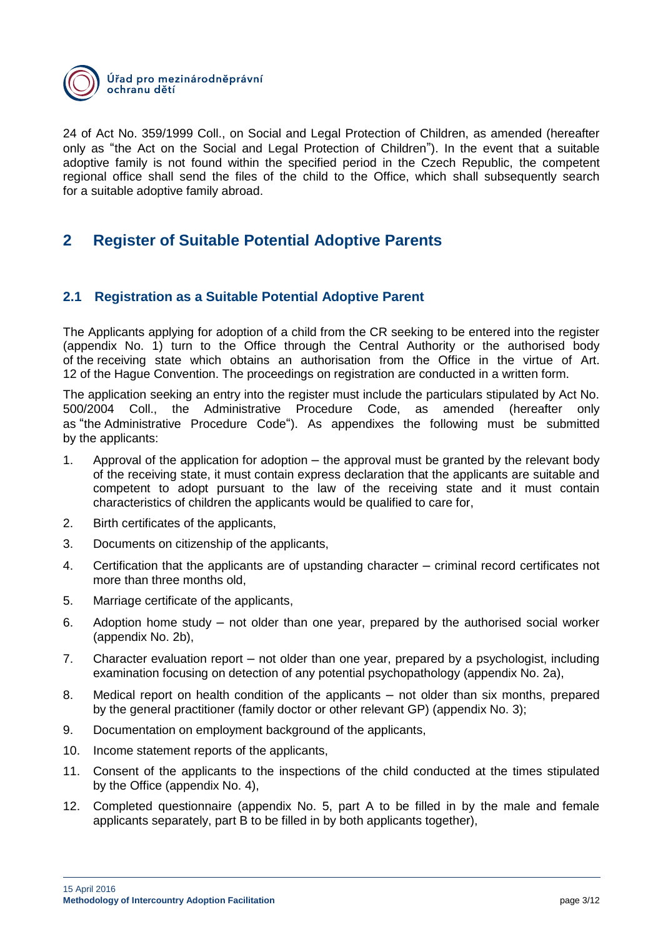

24 of Act No. 359/1999 Coll., on Social and Legal Protection of Children, as amended (hereafter only as "the Act on the Social and Legal Protection of Children"). In the event that a suitable adoptive family is not found within the specified period in the Czech Republic, the competent regional office shall send the files of the child to the Office, which shall subsequently search for a suitable adoptive family abroad.

# **2 Register of Suitable Potential Adoptive Parents**

## **2.1 Registration as a Suitable Potential Adoptive Parent**

The Applicants applying for adoption of a child from the CR seeking to be entered into the register (appendix No. 1) turn to the Office through the Central Authority or the authorised body of the receiving state which obtains an authorisation from the Office in the virtue of Art. 12 of the Hague Convention. The proceedings on registration are conducted in a written form.

The application seeking an entry into the register must include the particulars stipulated by Act No. 500/2004 Coll., the Administrative Procedure Code, as amended (hereafter only as "the Administrative Procedure Code"). As appendixes the following must be submitted by the applicants:

- 1. Approval of the application for adoption the approval must be granted by the relevant body of the receiving state, it must contain express declaration that the applicants are suitable and competent to adopt pursuant to the law of the receiving state and it must contain characteristics of children the applicants would be qualified to care for,
- 2. Birth certificates of the applicants,
- 3. Documents on citizenship of the applicants,
- 4. Certification that the applicants are of upstanding character criminal record certificates not more than three months old,
- 5. Marriage certificate of the applicants,
- 6. Adoption home study not older than one year, prepared by the authorised social worker (appendix No. 2b),
- 7. Character evaluation report not older than one year, prepared by a psychologist, including examination focusing on detection of any potential psychopathology (appendix No. 2a),
- 8. Medical report on health condition of the applicants not older than six months, prepared by the general practitioner (family doctor or other relevant GP) (appendix No. 3);
- 9. Documentation on employment background of the applicants,
- 10. Income statement reports of the applicants,
- 11. Consent of the applicants to the inspections of the child conducted at the times stipulated by the Office (appendix No. 4),
- 12. Completed questionnaire (appendix No. 5, part A to be filled in by the male and female applicants separately, part B to be filled in by both applicants together),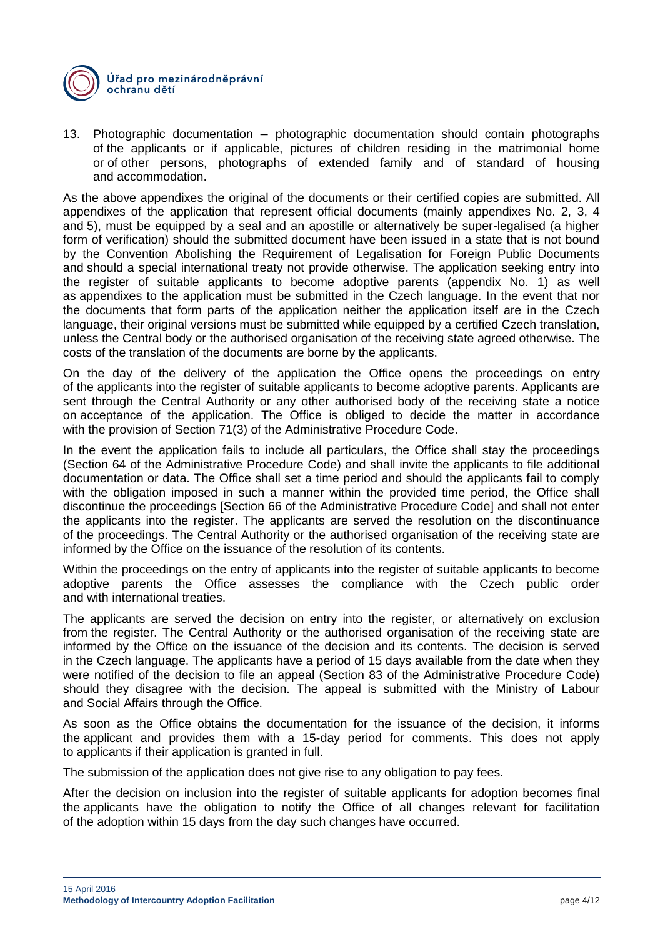

13. Photographic documentation – photographic documentation should contain photographs of the applicants or if applicable, pictures of children residing in the matrimonial home or of other persons, photographs of extended family and of standard of housing and accommodation.

As the above appendixes the original of the documents or their certified copies are submitted. All appendixes of the application that represent official documents (mainly appendixes No. 2, 3, 4 and 5), must be equipped by a seal and an apostille or alternatively be super-legalised (a higher form of verification) should the submitted document have been issued in a state that is not bound by the Convention Abolishing the Requirement of Legalisation for Foreign Public Documents and should a special international treaty not provide otherwise. The application seeking entry into the register of suitable applicants to become adoptive parents (appendix No. 1) as well as appendixes to the application must be submitted in the Czech language. In the event that nor the documents that form parts of the application neither the application itself are in the Czech language, their original versions must be submitted while equipped by a certified Czech translation, unless the Central body or the authorised organisation of the receiving state agreed otherwise. The costs of the translation of the documents are borne by the applicants.

On the day of the delivery of the application the Office opens the proceedings on entry of the applicants into the register of suitable applicants to become adoptive parents. Applicants are sent through the Central Authority or any other authorised body of the receiving state a notice on acceptance of the application. The Office is obliged to decide the matter in accordance with the provision of Section 71(3) of the Administrative Procedure Code.

In the event the application fails to include all particulars, the Office shall stay the proceedings (Section 64 of the Administrative Procedure Code) and shall invite the applicants to file additional documentation or data. The Office shall set a time period and should the applicants fail to comply with the obligation imposed in such a manner within the provided time period, the Office shall discontinue the proceedings [Section 66 of the Administrative Procedure Code] and shall not enter the applicants into the register. The applicants are served the resolution on the discontinuance of the proceedings. The Central Authority or the authorised organisation of the receiving state are informed by the Office on the issuance of the resolution of its contents.

Within the proceedings on the entry of applicants into the register of suitable applicants to become adoptive parents the Office assesses the compliance with the Czech public order and with international treaties.

The applicants are served the decision on entry into the register, or alternatively on exclusion from the register. The Central Authority or the authorised organisation of the receiving state are informed by the Office on the issuance of the decision and its contents. The decision is served in the Czech language. The applicants have a period of 15 days available from the date when they were notified of the decision to file an appeal (Section 83 of the Administrative Procedure Code) should they disagree with the decision. The appeal is submitted with the Ministry of Labour and Social Affairs through the Office.

As soon as the Office obtains the documentation for the issuance of the decision, it informs the applicant and provides them with a 15-day period for comments. This does not apply to applicants if their application is granted in full.

The submission of the application does not give rise to any obligation to pay fees.

After the decision on inclusion into the register of suitable applicants for adoption becomes final the applicants have the obligation to notify the Office of all changes relevant for facilitation of the adoption within 15 days from the day such changes have occurred.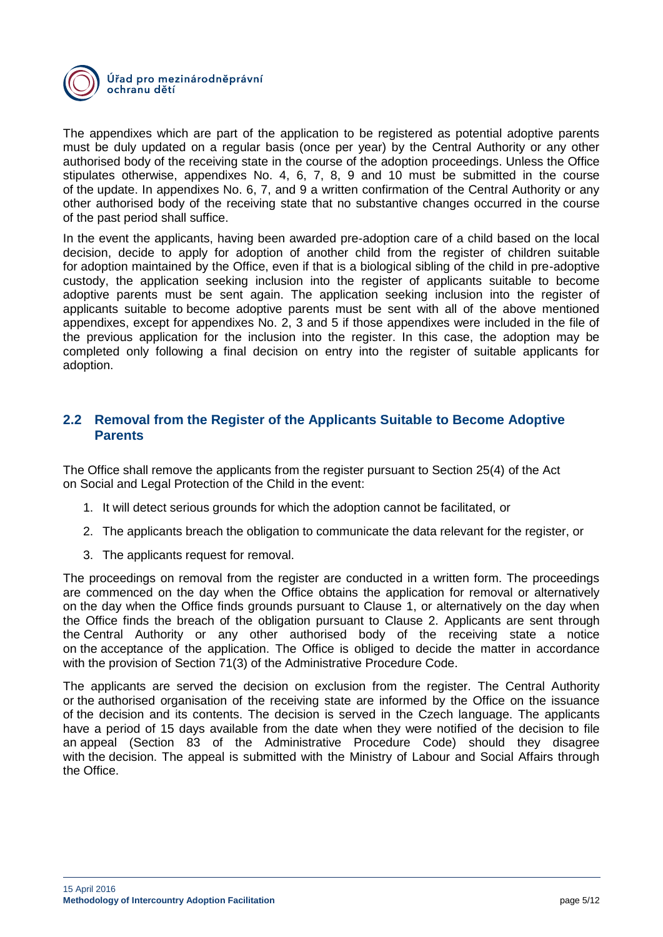

The appendixes which are part of the application to be registered as potential adoptive parents must be duly updated on a regular basis (once per year) by the Central Authority or any other authorised body of the receiving state in the course of the adoption proceedings. Unless the Office stipulates otherwise, appendixes No. 4, 6, 7, 8, 9 and 10 must be submitted in the course of the update. In appendixes No. 6, 7, and 9 a written confirmation of the Central Authority or any other authorised body of the receiving state that no substantive changes occurred in the course of the past period shall suffice.

In the event the applicants, having been awarded pre-adoption care of a child based on the local decision, decide to apply for adoption of another child from the register of children suitable for adoption maintained by the Office, even if that is a biological sibling of the child in pre-adoptive custody, the application seeking inclusion into the register of applicants suitable to become adoptive parents must be sent again. The application seeking inclusion into the register of applicants suitable to become adoptive parents must be sent with all of the above mentioned appendixes, except for appendixes No. 2, 3 and 5 if those appendixes were included in the file of the previous application for the inclusion into the register. In this case, the adoption may be completed only following a final decision on entry into the register of suitable applicants for adoption.

## **2.2 Removal from the Register of the Applicants Suitable to Become Adoptive Parents**

The Office shall remove the applicants from the register pursuant to Section 25(4) of the Act on Social and Legal Protection of the Child in the event:

- 1. It will detect serious grounds for which the adoption cannot be facilitated, or
- 2. The applicants breach the obligation to communicate the data relevant for the register, or
- 3. The applicants request for removal.

The proceedings on removal from the register are conducted in a written form. The proceedings are commenced on the day when the Office obtains the application for removal or alternatively on the day when the Office finds grounds pursuant to Clause 1, or alternatively on the day when the Office finds the breach of the obligation pursuant to Clause 2. Applicants are sent through the Central Authority or any other authorised body of the receiving state a notice on the acceptance of the application. The Office is obliged to decide the matter in accordance with the provision of Section 71(3) of the Administrative Procedure Code.

The applicants are served the decision on exclusion from the register. The Central Authority or the authorised organisation of the receiving state are informed by the Office on the issuance of the decision and its contents. The decision is served in the Czech language. The applicants have a period of 15 days available from the date when they were notified of the decision to file an appeal (Section 83 of the Administrative Procedure Code) should they disagree with the decision. The appeal is submitted with the Ministry of Labour and Social Affairs through the Office.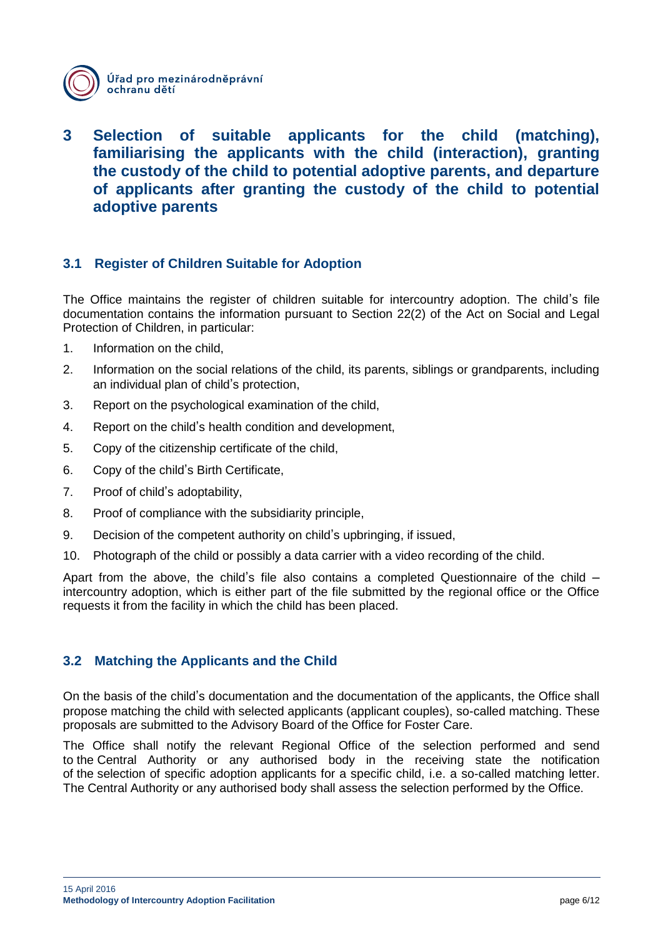

# **3 Selection of suitable applicants for the child (matching), familiarising the applicants with the child (interaction), granting the custody of the child to potential adoptive parents, and departure of applicants after granting the custody of the child to potential adoptive parents**

## **3.1 Register of Children Suitable for Adoption**

The Office maintains the register of children suitable for intercountry adoption. The child's file documentation contains the information pursuant to Section 22(2) of the Act on Social and Legal Protection of Children, in particular:

- 1. Information on the child,
- 2. Information on the social relations of the child, its parents, siblings or grandparents, including an individual plan of child's protection,
- 3. Report on the psychological examination of the child,
- 4. Report on the child's health condition and development,
- 5. Copy of the citizenship certificate of the child,
- 6. Copy of the child's Birth Certificate,
- 7. Proof of child's adoptability,
- 8. Proof of compliance with the subsidiarity principle,
- 9. Decision of the competent authority on child's upbringing, if issued,
- 10. Photograph of the child or possibly a data carrier with a video recording of the child.

Apart from the above, the child's file also contains a completed Questionnaire of the child – intercountry adoption, which is either part of the file submitted by the regional office or the Office requests it from the facility in which the child has been placed.

## **3.2 Matching the Applicants and the Child**

On the basis of the child's documentation and the documentation of the applicants, the Office shall propose matching the child with selected applicants (applicant couples), so-called matching. These proposals are submitted to the Advisory Board of the Office for Foster Care.

The Office shall notify the relevant Regional Office of the selection performed and send to the Central Authority or any authorised body in the receiving state the notification of the selection of specific adoption applicants for a specific child, i.e. a so-called matching letter. The Central Authority or any authorised body shall assess the selection performed by the Office.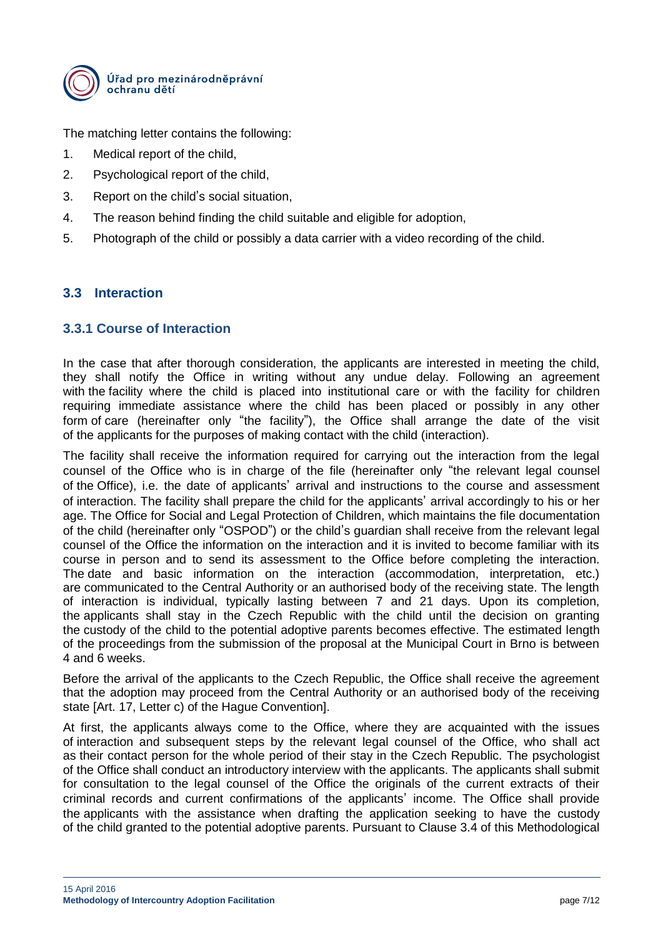

The matching letter contains the following:

- 1. Medical report of the child,
- 2. Psychological report of the child,
- 3. Report on the child's social situation,
- 4. The reason behind finding the child suitable and eligible for adoption,
- 5. Photograph of the child or possibly a data carrier with a video recording of the child.

## **3.3 Interaction**

## **3.3.1 Course of Interaction**

In the case that after thorough consideration, the applicants are interested in meeting the child, they shall notify the Office in writing without any undue delay. Following an agreement with the facility where the child is placed into institutional care or with the facility for children requiring immediate assistance where the child has been placed or possibly in any other form of care (hereinafter only "the facility"), the Office shall arrange the date of the visit of the applicants for the purposes of making contact with the child (interaction).

The facility shall receive the information required for carrying out the interaction from the legal counsel of the Office who is in charge of the file (hereinafter only "the relevant legal counsel of the Office), i.e. the date of applicants' arrival and instructions to the course and assessment of interaction. The facility shall prepare the child for the applicants' arrival accordingly to his or her age. The Office for Social and Legal Protection of Children, which maintains the file documentation of the child (hereinafter only "OSPOD") or the child's guardian shall receive from the relevant legal counsel of the Office the information on the interaction and it is invited to become familiar with its course in person and to send its assessment to the Office before completing the interaction. The date and basic information on the interaction (accommodation, interpretation, etc.) are communicated to the Central Authority or an authorised body of the receiving state. The length of interaction is individual, typically lasting between 7 and 21 days. Upon its completion, the applicants shall stay in the Czech Republic with the child until the decision on granting the custody of the child to the potential adoptive parents becomes effective. The estimated length of the proceedings from the submission of the proposal at the Municipal Court in Brno is between 4 and 6 weeks.

Before the arrival of the applicants to the Czech Republic, the Office shall receive the agreement that the adoption may proceed from the Central Authority or an authorised body of the receiving state [Art. 17, Letter c) of the Hague Convention].

At first, the applicants always come to the Office, where they are acquainted with the issues of interaction and subsequent steps by the relevant legal counsel of the Office, who shall act as their contact person for the whole period of their stay in the Czech Republic. The psychologist of the Office shall conduct an introductory interview with the applicants. The applicants shall submit for consultation to the legal counsel of the Office the originals of the current extracts of their criminal records and current confirmations of the applicants' income. The Office shall provide the applicants with the assistance when drafting the application seeking to have the custody of the child granted to the potential adoptive parents. Pursuant to Clause 3.4 of this Methodological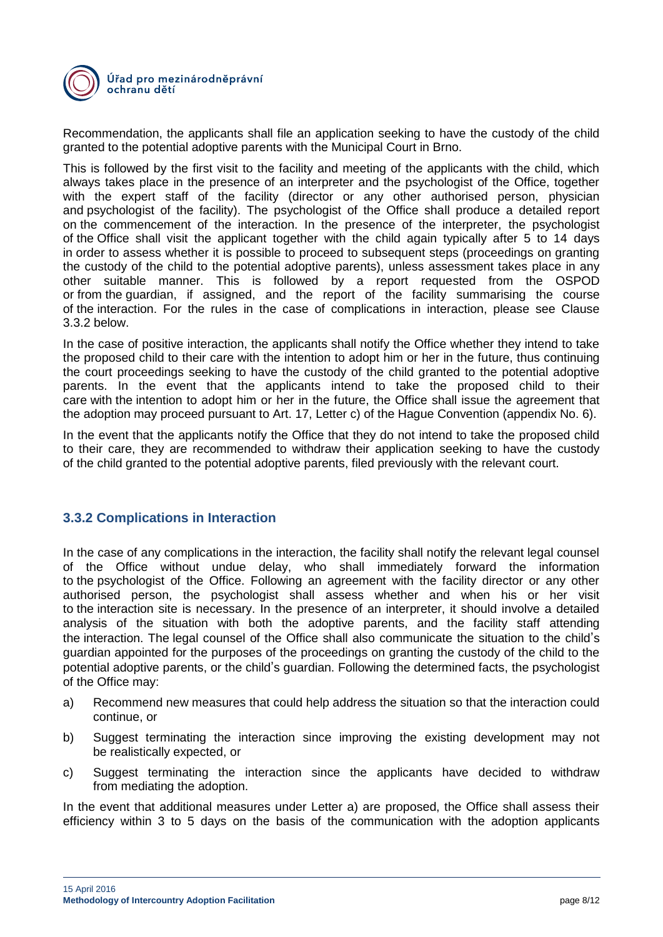

Recommendation, the applicants shall file an application seeking to have the custody of the child granted to the potential adoptive parents with the Municipal Court in Brno.

This is followed by the first visit to the facility and meeting of the applicants with the child, which always takes place in the presence of an interpreter and the psychologist of the Office, together with the expert staff of the facility (director or any other authorised person, physician and psychologist of the facility). The psychologist of the Office shall produce a detailed report on the commencement of the interaction. In the presence of the interpreter, the psychologist of the Office shall visit the applicant together with the child again typically after 5 to 14 days in order to assess whether it is possible to proceed to subsequent steps (proceedings on granting the custody of the child to the potential adoptive parents), unless assessment takes place in any other suitable manner. This is followed by a report requested from the OSPOD or from the guardian, if assigned, and the report of the facility summarising the course of the interaction. For the rules in the case of complications in interaction, please see Clause 3.3.2 below.

In the case of positive interaction, the applicants shall notify the Office whether they intend to take the proposed child to their care with the intention to adopt him or her in the future, thus continuing the court proceedings seeking to have the custody of the child granted to the potential adoptive parents. In the event that the applicants intend to take the proposed child to their care with the intention to adopt him or her in the future, the Office shall issue the agreement that the adoption may proceed pursuant to Art. 17, Letter c) of the Hague Convention (appendix No. 6).

In the event that the applicants notify the Office that they do not intend to take the proposed child to their care, they are recommended to withdraw their application seeking to have the custody of the child granted to the potential adoptive parents, filed previously with the relevant court.

## **3.3.2 Complications in Interaction**

In the case of any complications in the interaction, the facility shall notify the relevant legal counsel of the Office without undue delay, who shall immediately forward the information to the psychologist of the Office. Following an agreement with the facility director or any other authorised person, the psychologist shall assess whether and when his or her visit to the interaction site is necessary. In the presence of an interpreter, it should involve a detailed analysis of the situation with both the adoptive parents, and the facility staff attending the interaction. The legal counsel of the Office shall also communicate the situation to the child's guardian appointed for the purposes of the proceedings on granting the custody of the child to the potential adoptive parents, or the child's guardian. Following the determined facts, the psychologist of the Office may:

- a) Recommend new measures that could help address the situation so that the interaction could continue, or
- b) Suggest terminating the interaction since improving the existing development may not be realistically expected, or
- c) Suggest terminating the interaction since the applicants have decided to withdraw from mediating the adoption.

In the event that additional measures under Letter a) are proposed, the Office shall assess their efficiency within 3 to 5 days on the basis of the communication with the adoption applicants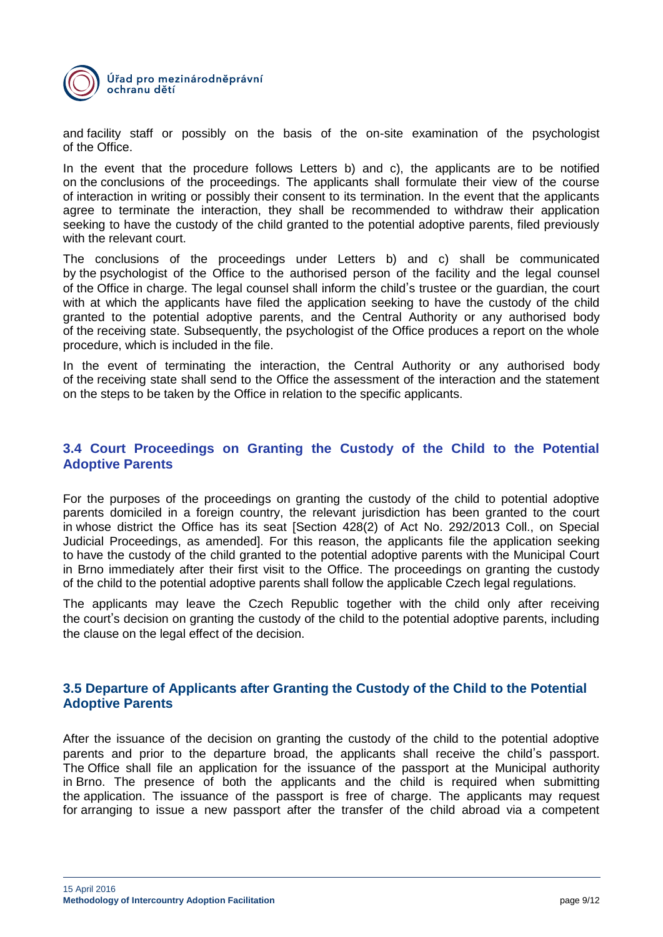

and facility staff or possibly on the basis of the on-site examination of the psychologist of the Office.

In the event that the procedure follows Letters b) and c), the applicants are to be notified on the conclusions of the proceedings. The applicants shall formulate their view of the course of interaction in writing or possibly their consent to its termination. In the event that the applicants agree to terminate the interaction, they shall be recommended to withdraw their application seeking to have the custody of the child granted to the potential adoptive parents, filed previously with the relevant court.

The conclusions of the proceedings under Letters b) and c) shall be communicated by the psychologist of the Office to the authorised person of the facility and the legal counsel of the Office in charge. The legal counsel shall inform the child's trustee or the guardian, the court with at which the applicants have filed the application seeking to have the custody of the child granted to the potential adoptive parents, and the Central Authority or any authorised body of the receiving state. Subsequently, the psychologist of the Office produces a report on the whole procedure, which is included in the file.

In the event of terminating the interaction, the Central Authority or any authorised body of the receiving state shall send to the Office the assessment of the interaction and the statement on the steps to be taken by the Office in relation to the specific applicants.

#### **3.4 Court Proceedings on Granting the Custody of the Child to the Potential Adoptive Parents**

For the purposes of the proceedings on granting the custody of the child to potential adoptive parents domiciled in a foreign country, the relevant jurisdiction has been granted to the court in whose district the Office has its seat [Section 428(2) of Act No. 292/2013 Coll., on Special Judicial Proceedings, as amended]. For this reason, the applicants file the application seeking to have the custody of the child granted to the potential adoptive parents with the Municipal Court in Brno immediately after their first visit to the Office. The proceedings on granting the custody of the child to the potential adoptive parents shall follow the applicable Czech legal regulations.

The applicants may leave the Czech Republic together with the child only after receiving the court's decision on granting the custody of the child to the potential adoptive parents, including the clause on the legal effect of the decision.

#### **3.5 Departure of Applicants after Granting the Custody of the Child to the Potential Adoptive Parents**

After the issuance of the decision on granting the custody of the child to the potential adoptive parents and prior to the departure broad, the applicants shall receive the child's passport. The Office shall file an application for the issuance of the passport at the Municipal authority in Brno. The presence of both the applicants and the child is required when submitting the application. The issuance of the passport is free of charge. The applicants may request for arranging to issue a new passport after the transfer of the child abroad via a competent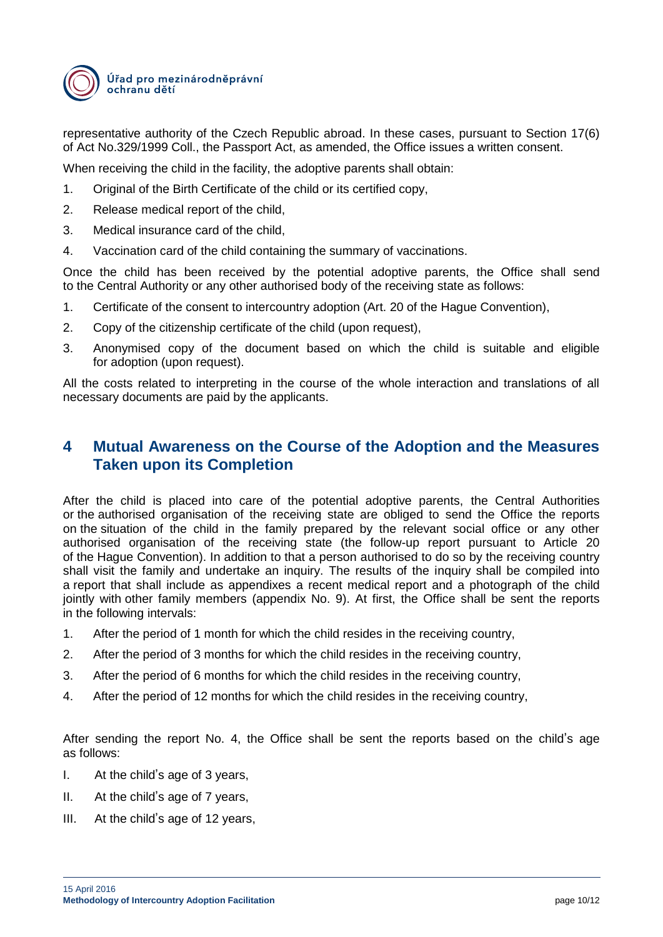

representative authority of the Czech Republic abroad. In these cases, pursuant to Section 17(6) of Act No.329/1999 Coll., the Passport Act, as amended, the Office issues a written consent.

When receiving the child in the facility, the adoptive parents shall obtain:

- 1. Original of the Birth Certificate of the child or its certified copy,
- 2. Release medical report of the child,
- 3. Medical insurance card of the child,
- 4. Vaccination card of the child containing the summary of vaccinations.

Once the child has been received by the potential adoptive parents, the Office shall send to the Central Authority or any other authorised body of the receiving state as follows:

- 1. Certificate of the consent to intercountry adoption (Art. 20 of the Hague Convention),
- 2. Copy of the citizenship certificate of the child (upon request),
- 3. Anonymised copy of the document based on which the child is suitable and eligible for adoption (upon request).

All the costs related to interpreting in the course of the whole interaction and translations of all necessary documents are paid by the applicants.

# **4 Mutual Awareness on the Course of the Adoption and the Measures Taken upon its Completion**

After the child is placed into care of the potential adoptive parents, the Central Authorities or the authorised organisation of the receiving state are obliged to send the Office the reports on the situation of the child in the family prepared by the relevant social office or any other authorised organisation of the receiving state (the follow-up report pursuant to Article 20 of the Hague Convention). In addition to that a person authorised to do so by the receiving country shall visit the family and undertake an inquiry. The results of the inquiry shall be compiled into a report that shall include as appendixes a recent medical report and a photograph of the child jointly with other family members (appendix No. 9). At first, the Office shall be sent the reports in the following intervals:

- 1. After the period of 1 month for which the child resides in the receiving country,
- 2. After the period of 3 months for which the child resides in the receiving country,
- 3. After the period of 6 months for which the child resides in the receiving country,
- 4. After the period of 12 months for which the child resides in the receiving country,

After sending the report No. 4, the Office shall be sent the reports based on the child's age as follows:

- I. At the child's age of 3 years,
- II. At the child's age of 7 years,
- III. At the child's age of 12 years,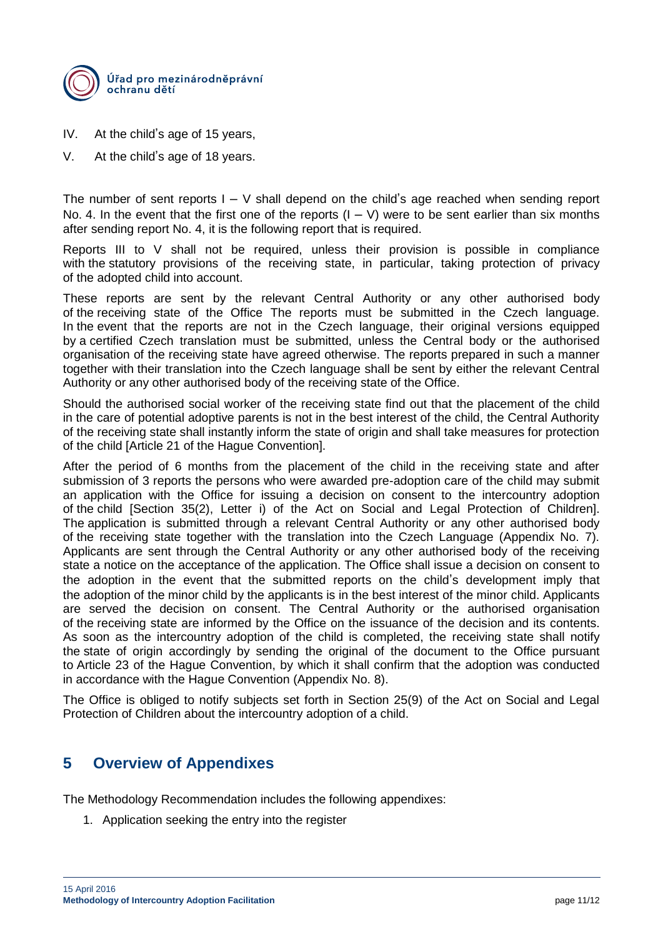

- IV. At the child's age of 15 years,
- V. At the child's age of 18 years.

The number of sent reports  $I - V$  shall depend on the child's age reached when sending report No. 4. In the event that the first one of the reports  $(I - V)$  were to be sent earlier than six months after sending report No. 4, it is the following report that is required.

Reports III to V shall not be required, unless their provision is possible in compliance with the statutory provisions of the receiving state, in particular, taking protection of privacy of the adopted child into account.

These reports are sent by the relevant Central Authority or any other authorised body of the receiving state of the Office The reports must be submitted in the Czech language. In the event that the reports are not in the Czech language, their original versions equipped by a certified Czech translation must be submitted, unless the Central body or the authorised organisation of the receiving state have agreed otherwise. The reports prepared in such a manner together with their translation into the Czech language shall be sent by either the relevant Central Authority or any other authorised body of the receiving state of the Office.

Should the authorised social worker of the receiving state find out that the placement of the child in the care of potential adoptive parents is not in the best interest of the child, the Central Authority of the receiving state shall instantly inform the state of origin and shall take measures for protection of the child [Article 21 of the Hague Convention].

After the period of 6 months from the placement of the child in the receiving state and after submission of 3 reports the persons who were awarded pre-adoption care of the child may submit an application with the Office for issuing a decision on consent to the intercountry adoption of the child [Section 35(2), Letter i) of the Act on Social and Legal Protection of Children]. The application is submitted through a relevant Central Authority or any other authorised body of the receiving state together with the translation into the Czech Language (Appendix No. 7). Applicants are sent through the Central Authority or any other authorised body of the receiving state a notice on the acceptance of the application. The Office shall issue a decision on consent to the adoption in the event that the submitted reports on the child's development imply that the adoption of the minor child by the applicants is in the best interest of the minor child. Applicants are served the decision on consent. The Central Authority or the authorised organisation of the receiving state are informed by the Office on the issuance of the decision and its contents. As soon as the intercountry adoption of the child is completed, the receiving state shall notify the state of origin accordingly by sending the original of the document to the Office pursuant to Article 23 of the Hague Convention, by which it shall confirm that the adoption was conducted in accordance with the Hague Convention (Appendix No. 8).

The Office is obliged to notify subjects set forth in Section 25(9) of the Act on Social and Legal Protection of Children about the intercountry adoption of a child.

# **5 Overview of Appendixes**

The Methodology Recommendation includes the following appendixes:

1. Application seeking the entry into the register